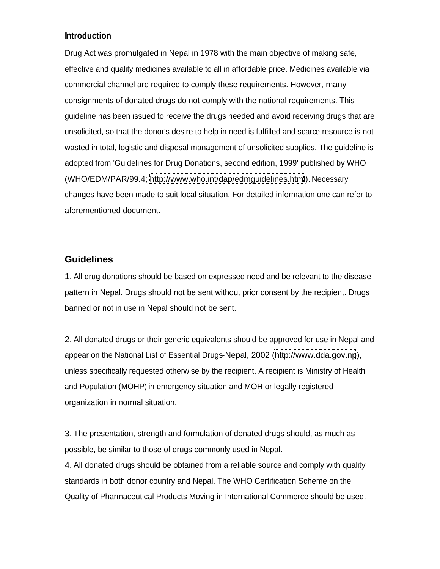## **Introduction**

Drug Act was promulgated in Nepal in 1978 with the main objective of making safe, effective and quality medicines available to all in affordable price. Medicines available via commercial channel are required to comply these requirements. However, many consignments of donated drugs do not comply with the national requirements. This guideline has been issued to receive the drugs needed and avoid receiving drugs that are unsolicited, so that the donor's desire to help in need is fulfilled and scarce resource is not wasted in total, logistic and disposal management of unsolicited supplies. The guideline is adopted from 'Guidelines for Drug Donations, second edition, 1999' published by WHO (WHO/EDM/PAR/99.4; <http://www.who.int/dap/edmguidelines.html>). Necessary changes have been made to suit local situation. For detailed information one can refer to aforementioned document.

## **Guidelines**

1. All drug donations should be based on expressed need and be relevant to the disease pattern in Nepal. Drugs should not be sent without prior consent by the recipient. Drugs banned or not in use in Nepal should not be sent.

2. All donated drugs or their generic equivalents should be approved for use in Nepal and appear on the National List of Essential Drugs-Nepal, 2002 [\(http://www.dda.gov.np](http://www.dda.gov.np)), unless specifically requested otherwise by the recipient. A recipient is Ministry of Health and Population (MOHP) in emergency situation and MOH or legally registered organization in normal situation.

3. The presentation, strength and formulation of donated drugs should, as much as possible, be similar to those of drugs commonly used in Nepal.

4. All donated drugs should be obtained from a reliable source and comply with quality standards in both donor country and Nepal. The WHO Certification Scheme on the Quality of Pharmaceutical Products Moving in International Commerce should be used.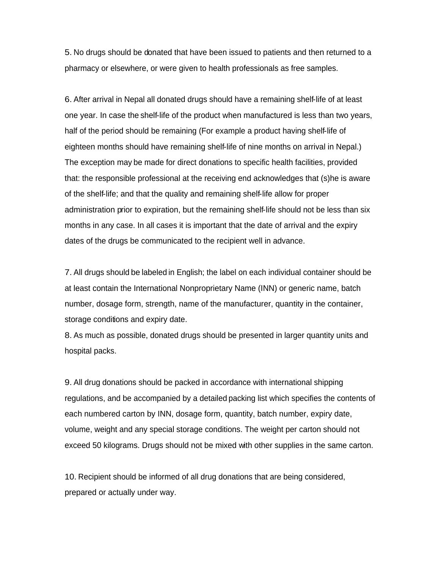5. No drugs should be donated that have been issued to patients and then returned to a pharmacy or elsewhere, or were given to health professionals as free samples.

6. After arrival in Nepal all donated drugs should have a remaining shelf-life of at least one year. In case the shelf-life of the product when manufactured is less than two years, half of the period should be remaining (For example a product having shelf-life of eighteen months should have remaining shelf-life of nine months on arrival in Nepal.) The exception may be made for direct donations to specific health facilities, provided that: the responsible professional at the receiving end acknowledges that (s)he is aware of the shelf-life; and that the quality and remaining shelf-life allow for proper administration prior to expiration, but the remaining shelf-life should not be less than six months in any case. In all cases it is important that the date of arrival and the expiry dates of the drugs be communicated to the recipient well in advance.

7. All drugs should be labeled in English; the label on each individual container should be at least contain the International Nonproprietary Name (INN) or generic name, batch number, dosage form, strength, name of the manufacturer, quantity in the container, storage conditions and expiry date.

8. As much as possible, donated drugs should be presented in larger quantity units and hospital packs.

9. All drug donations should be packed in accordance with international shipping regulations, and be accompanied by a detailed packing list which specifies the contents of each numbered carton by INN, dosage form, quantity, batch number, expiry date, volume, weight and any special storage conditions. The weight per carton should not exceed 50 kilograms. Drugs should not be mixed with other supplies in the same carton.

10. Recipient should be informed of all drug donations that are being considered, prepared or actually under way.